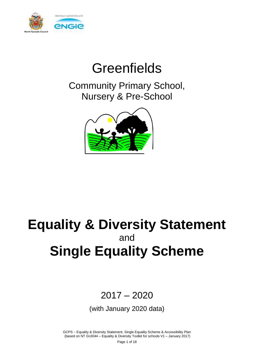

# **Greenfields**

Community Primary School, Nursery & Pre-School



# **Equality & Diversity Statement**  and **Single Equality Scheme**

# 2017 – 2020

(with January 2020 data)

GCPS ~ Equality & Diversity Statement, Single Equality Scheme & Accessibility Plan (based on NT GUI044 – Equality & Diversity Toolkit for schools V1 – January 2017)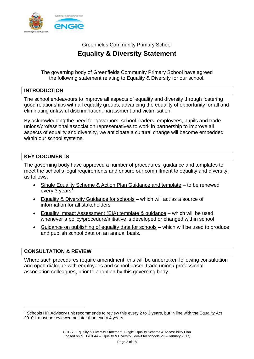

Greenfields Community Primary School

# **Equality & Diversity Statement**

The governing body of Greenfields Community Primary School have agreed the following statement relating to Equality & Diversity for our school.

#### **INTRODUCTION**

The school endeavours to improve all aspects of equality and diversity through fostering good relationships with all equality groups, advancing the equality of opportunity for all and eliminating unlawful discrimination, harassment and victimisation.

By acknowledging the need for governors, school leaders, employees, pupils and trade unions/professional association representatives to work in partnership to improve all aspects of equality and diversity, we anticipate a cultural change will become embedded within our school systems.

## **KEY DOCUMENTS**

The governing body have approved a number of procedures, guidance and templates to meet the school's legal requirements and ensure our commitment to equality and diversity, as follows;

- Single Equality Scheme & Action Plan Guidance and template to be renewed every 3 years<sup>1</sup>
- Equality & Diversity Guidance for schools which will act as a source of information for all stakeholders
- Equality Impact Assessment (EIA) template & guidance which will be used whenever a policy/procedure/initiative is developed or changed within school
- Guidance on publishing of equality data for schools which will be used to produce and publish school data on an annual basis.

### **CONSULTATION & REVIEW**

1

Where such procedures require amendment, this will be undertaken following consultation and open dialogue with employees and school based trade union / professional association colleagues, prior to adoption by this governing body.

<sup>1</sup> Schools HR Advisory unit recommends to review this every 2 to 3 years, but in line with the Equality Act 2010 it must be reviewed no later than every 4 years.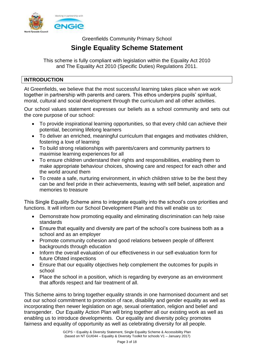

Greenfields Community Primary School

# **Single Equality Scheme Statement**

This scheme is fully compliant with legislation within the Equality Act 2010 and The Equality Act 2010 (Specific Duties) Regulations 2011.

#### **INTRODUCTION**

At Greenfields, we believe that the most successful learning takes place when we work together in partnership with parents and carers. This ethos underpins pupils' spiritual, moral, cultural and social development through the curriculum and all other activities.

Our school values statement expresses our beliefs as a school community and sets out the core purpose of our school:

- To provide inspirational learning opportunities, so that every child can achieve their potential, becoming lifelong learners
- To deliver an enriched, meaningful curriculum that engages and motivates children, fostering a love of learning
- To build strong relationships with parents/carers and community partners to maximise learning experiences for all
- To ensure children understand their rights and responsibilities, enabling them to make appropriate behaviour choices, showing care and respect for each other and the world around them
- To create a safe, nurturing environment, in which children strive to be the best they can be and feel pride in their achievements, leaving with self belief, aspiration and memories to treasure

This Single Equality Scheme aims to integrate equality into the school's core priorities and functions. It will inform our School Development Plan and this will enable us to:

- Demonstrate how promoting equality and eliminating discrimination can help raise standards
- Ensure that equality and diversity are part of the school's core business both as a school and as an employer
- Promote community cohesion and good relations between people of different backgrounds through education
- Inform the overall evaluation of our effectiveness in our self-evaluation form for future Ofsted inspections
- Ensure that our equality objectives help complement the outcomes for pupils in school
- Place the school in a position, which is regarding by everyone as an environment that affords respect and fair treatment of all.

This Scheme aims to bring together equality strands in one harmonised document and set out our school commitment to promotion of race, disability and gender equality as well as incorporating then newer legislation on age, sexual orientation, religion and belief and transgender. Our Equality Action Plan will bring together all our existing work as well as enabling us to introduce developments. Our equality and diversity policy promotes fairness and equality of opportunity as well as celebrating diversity for all people.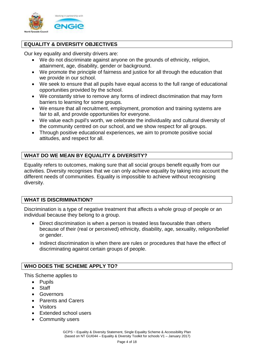

# **EQUALITY & DIVERSITY OBJECTIVES**

Our key equality and diversity drivers are:

- We do not discriminate against anyone on the grounds of ethnicity, religion, attainment, age, disability, gender or background.
- We promote the principle of fairness and justice for all through the education that we provide in our school.
- We seek to ensure that all pupils have equal access to the full range of educational opportunities provided by the school.
- We constantly strive to remove any forms of indirect discrimination that may form barriers to learning for some groups.
- We ensure that all recruitment, employment, promotion and training systems are fair to all, and provide opportunities for everyone.
- We value each pupil's worth, we celebrate the individuality and cultural diversity of the community centred on our school, and we show respect for all groups.
- Through positive educational experiences, we aim to promote positive social attitudes, and respect for all.

## **WHAT DO WE MEAN BY EQUALITY & DIVERSITY?**

Equality refers to outcomes, making sure that all social groups benefit equally from our activities. Diversity recognises that we can only achieve equality by taking into account the different needs of communities. Equality is impossible to achieve without recognising diversity.

#### **WHAT IS DISCRIMINATION?**

Discrimination is a type of negative treatment that affects a whole group of people or an individual because they belong to a group.

- Direct discrimination is when a person is treated less favourable than others because of their (real or perceived) ethnicity, disability, age, sexuality, religion/belief or gender.
- Indirect discrimination is when there are rules or procedures that have the effect of discriminating against certain groups of people.

### **WHO DOES THE SCHEME APPLY TO?**

This Scheme applies to

- Pupils
- **Staff**
- Governors
- Parents and Carers
- Visitors
- Extended school users
- Community users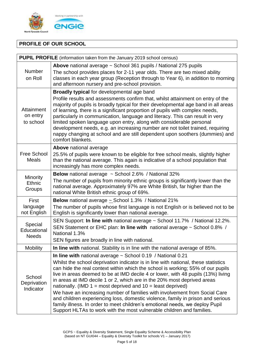

# **PROFILE OF OUR SCHOOL**

| PUPIL PROFILE (information taken from the January 2019 school census)                                                                                                                                              |                                                                                                                                                                                                                                                                                                                                                                                                                                                                                                                                                                                                        |  |  |  |  |  |
|--------------------------------------------------------------------------------------------------------------------------------------------------------------------------------------------------------------------|--------------------------------------------------------------------------------------------------------------------------------------------------------------------------------------------------------------------------------------------------------------------------------------------------------------------------------------------------------------------------------------------------------------------------------------------------------------------------------------------------------------------------------------------------------------------------------------------------------|--|--|--|--|--|
| <b>Number</b>                                                                                                                                                                                                      | Above national average ~ School 361 pupils / National 275 pupils<br>The school provides places for 2-11 year olds. There are two mixed ability                                                                                                                                                                                                                                                                                                                                                                                                                                                         |  |  |  |  |  |
| on Roll                                                                                                                                                                                                            | classes in each year group (Reception through to Year 6), in addition to morning<br>and afternoon nursery and pre-school provision.                                                                                                                                                                                                                                                                                                                                                                                                                                                                    |  |  |  |  |  |
|                                                                                                                                                                                                                    | <b>Broadly typical for developmental age band</b>                                                                                                                                                                                                                                                                                                                                                                                                                                                                                                                                                      |  |  |  |  |  |
| Attainment<br>on entry<br>to school                                                                                                                                                                                | Profile results and assessments confirm that, whilst attainment on entry of the<br>majority of pupils is broadly typical for their developmental age band in all areas<br>of learning, there is a significant proportion of pupils with complex needs,<br>particularly in communication, language and literacy. This can result in very<br>limited spoken language upon entry, along with considerable personal<br>development needs, e.g. an increasing number are not toilet trained, requiring<br>nappy changing at school and are still dependent upon soothers (dummies) and<br>comfort blankets. |  |  |  |  |  |
|                                                                                                                                                                                                                    | Above national average                                                                                                                                                                                                                                                                                                                                                                                                                                                                                                                                                                                 |  |  |  |  |  |
| <b>Free School</b><br><b>Meals</b>                                                                                                                                                                                 | 25.5% of pupils were known to be eligible for free school meals, slightly higher<br>than the national average. This again is indicative of a school population that<br>increasingly has more complex needs.                                                                                                                                                                                                                                                                                                                                                                                            |  |  |  |  |  |
| Minority                                                                                                                                                                                                           | <b>Below</b> national average ~ School 2.6% / National 32%                                                                                                                                                                                                                                                                                                                                                                                                                                                                                                                                             |  |  |  |  |  |
| Ethnic<br>Groups                                                                                                                                                                                                   | The number of pupils from minority ethnic groups is significantly lower than the<br>national average. Approximately 97% are White British, far higher than the<br>national White British ethnic group of 69%.                                                                                                                                                                                                                                                                                                                                                                                          |  |  |  |  |  |
| First                                                                                                                                                                                                              | <b>Below</b> national average $\sim$ School 1.3% / National 21%                                                                                                                                                                                                                                                                                                                                                                                                                                                                                                                                        |  |  |  |  |  |
| language<br>not English                                                                                                                                                                                            | The number of pupils whose first language is not English or is believed not to be<br>English is significantly lower than national average.                                                                                                                                                                                                                                                                                                                                                                                                                                                             |  |  |  |  |  |
| SEN Support: In line with national average ~ School 11.7% / National 12.2%.<br>Special<br>SEN Statement or EHC plan: In line with national average ~ School 0.8% /<br>Educational<br>National 1.3%<br><b>Needs</b> |                                                                                                                                                                                                                                                                                                                                                                                                                                                                                                                                                                                                        |  |  |  |  |  |
|                                                                                                                                                                                                                    | SEN figures are broadly in line with national.                                                                                                                                                                                                                                                                                                                                                                                                                                                                                                                                                         |  |  |  |  |  |
| <b>Mobility</b>                                                                                                                                                                                                    | In line with national. Stability is in line with the national average of 85%.                                                                                                                                                                                                                                                                                                                                                                                                                                                                                                                          |  |  |  |  |  |
|                                                                                                                                                                                                                    | In line with national average $\sim$ School 0.19 / National 0.21                                                                                                                                                                                                                                                                                                                                                                                                                                                                                                                                       |  |  |  |  |  |
| School<br>Deprivation                                                                                                                                                                                              | Whilst the school deprivation indicator is in line with national, these statistics<br>can hide the real context within which the school is working; 55% of our pupils<br>live in areas deemed to be at IMD decile 4 or lower, with 48 pupils (13%) living<br>in areas at IMD decile 1 or 2, which are in the 20% most deprived areas                                                                                                                                                                                                                                                                   |  |  |  |  |  |
| Indicator                                                                                                                                                                                                          | nationally. (IMD $1 = \text{most}$ deprived and $10 = \text{least}$ deprived)<br>We have an increasing number of families with involvement from Social Care<br>and children experiencing loss, domestic violence, family in prison and serious<br>family illness. In order to meet children's emotional needs, we deploy Pupil<br>Support HLTAs to work with the most vulnerable children and families.                                                                                                                                                                                                |  |  |  |  |  |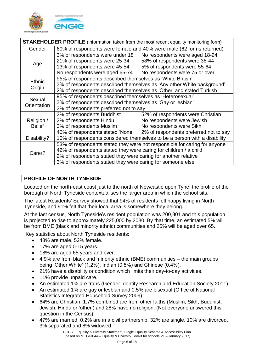

| <b>STAKEHOLDER PROFILE</b> (information taken from the most recent equality monitoring form) |                                                                           |                                                                         |  |  |  |
|----------------------------------------------------------------------------------------------|---------------------------------------------------------------------------|-------------------------------------------------------------------------|--|--|--|
| Gender                                                                                       | 60% of respondents were female and 40% were male (62 forms returned)      |                                                                         |  |  |  |
|                                                                                              | 3% of respondents were under 18                                           | No respondents were aged 18-24                                          |  |  |  |
| Age                                                                                          | 21% of respondents were 25-34                                             | 58% of respondents were 35-44                                           |  |  |  |
|                                                                                              | 13% of respondents were 45-54                                             | 5% of respondents were 55-64                                            |  |  |  |
|                                                                                              | No respondents were aged 65-74                                            | No respondents were 75 or over                                          |  |  |  |
| <b>Ethnic</b>                                                                                | 95% of respondents described themselves as 'White British'                |                                                                         |  |  |  |
| Origin                                                                                       |                                                                           | 3% of respondents described themselves as 'Any other White background'  |  |  |  |
|                                                                                              | 2% of respondents described themselves as 'Other' and stated Turkish      |                                                                         |  |  |  |
| Sexual                                                                                       | 95% of respondents described themselves as 'Heterosexual'                 |                                                                         |  |  |  |
| Orientation                                                                                  | 3% of respondents described themselves as 'Gay or lesbian'                |                                                                         |  |  |  |
|                                                                                              | 2% of respondents preferred not to say                                    |                                                                         |  |  |  |
|                                                                                              | 2% of respondents Buddhist                                                | 52% of respondents were Christian                                       |  |  |  |
| Religion /                                                                                   | 2% of respondents Hindu                                                   | No respondents were Jewish                                              |  |  |  |
| <b>Belief</b>                                                                                | 3% of respondents Muslim                                                  | No respondents were Sikh                                                |  |  |  |
|                                                                                              |                                                                           | 40% of respondents stated 'None' 2% of respondents preferred not to say |  |  |  |
| Disability?                                                                                  | 10% of respondents considered themselves to be a person with a disability |                                                                         |  |  |  |
|                                                                                              | 53% of respondents stated they were not responsible for caring for anyone |                                                                         |  |  |  |
| Carer?                                                                                       | 42% of respondents stated they were caring for children / a child         |                                                                         |  |  |  |
|                                                                                              | 2% of respondents stated they were caring for another relative            |                                                                         |  |  |  |
|                                                                                              | 3% of respondents stated they were caring for someone else                |                                                                         |  |  |  |

# **PROFILE OF NORTH TYNESIDE**

Located on the north-east coast just to the north of Newcastle upon Tyne, the profile of the borough of North Tyneside contextualises the larger area in which the school sits.

The latest Residents' Survey showed that 94% of residents felt happy living in North Tyneside, and 91% felt that their local area is somewhere they belong.

At the last census, North Tyneside's resident population was 200,801 and this population is projected to rise to approximately 225,000 by 2030. By that time, an estimated 5% will be from BME (black and minority ethnic) communities and 25% will be aged over 65.

Key statistics about North Tyneside residents:

- 48% are male, 52% female.
- 17% are aged 0-15 years.
- 18% are aged 65 years and over.
- 4.9% are from black and minority ethnic (BME) communities the main groups being 'Other White' (1.2%), Indian (0.5%) and Chinese (0.4%).
- 21% have a disability or condition which limits their day-to-day activities.
- 11% provide unpaid care.
- An estimated 1% are trans (Gender Identity Research and Education Society 2011).
- An estimated 1% are gay or lesbian and 0.5% are bisexual (Office of National Statistics Integrated Household Survey 2009).
- 64% are Christian, 1.7% combined are from other faiths (Muslim, Sikh, Buddhist, Jewish, Hindu or 'other') and 28% have no religion. (Not everyone answered this question in the Census).
- 47% are married, 0.2% are in a civil partnership, 32% are single, 10% are divorced, 3% separated and 8% widowed.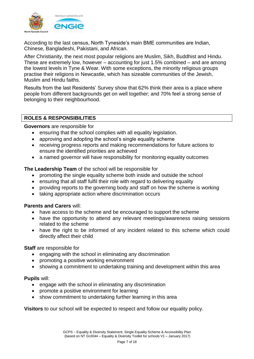

According to the last census, North Tyneside's main BME communities are Indian, Chinese, Bangladeshi, Pakistani, and African.

After Christianity, the next most popular religions are Muslim, Sikh, Buddhist and Hindu. These are extremely low, however – accounting for just 1.5% combined – and are among the lowest levels in Tyne & Wear. With some exceptions, the minority religious groups practise their religions in Newcastle, which has sizeable communities of the Jewish, Muslim and Hindu faiths.

Results from the last Residents' Survey show that 62% think their area is a place where people from different backgrounds get on well together; and 70% feel a strong sense of belonging to their neighbourhood.

#### **ROLES & RESPONSIBILITIES**

**Governors** are responsible for

- ensuring that the school complies with all equality legislation.
- approving and adopting the school's single equality scheme
- receiving progress reports and making recommendations for future actions to ensure the identified priorities are achieved
- a named governor will have responsibility for monitoring equality outcomes

**The Leadership Team** of the school will be responsible for

- promoting the single equality scheme both inside and outside the school
- ensuring that all staff fulfil their role with regard to delivering equality
- providing reports to the governing body and staff on how the scheme is working
- taking appropriate action where discrimination occurs

#### **Parents and Carers** will:

- have access to the scheme and be encouraged to support the scheme
- have the opportunity to attend any relevant meetings/awareness raising sessions related to the scheme
- have the right to be informed of any incident related to this scheme which could directly affect their child

#### **Staff** are responsible for

- engaging with the school in eliminating any discrimination
- promoting a positive working environment
- showing a commitment to undertaking training and development within this area

#### **Pupils** will:

- engage with the school in eliminating any discrimination
- promote a positive environment for learning
- show commitment to undertaking further learning in this area

**Visitors** to our school will be expected to respect and follow our equality policy.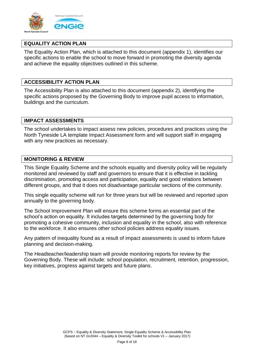

#### **EQUALITY ACTION PLAN**

The Equality Action Plan, which is attached to this document (appendix 1), identifies our specific actions to enable the school to move forward in promoting the diversity agenda and achieve the equality objectives outlined in this scheme.

#### **ACCESSIBILITY ACTION PLAN**

The Accessibility Plan is also attached to this document (appendix 2), identifying the specific actions proposed by the Governing Body to improve pupil access to information, buildings and the curriculum.

#### **IMPACT ASSESSMENTS**

The school undertakes to impact assess new policies, procedures and practices using the North Tyneside LA template Impact Assessment form and will support staff in engaging with any new practices as necessary.

#### **MONITORING & REVIEW**

This Single Equality Scheme and the schools equality and diversity policy will be regularly monitored and reviewed by staff and governors to ensure that it is effective in tackling discrimination, promoting access and participation, equality and good relations between different groups, and that it does not disadvantage particular sections of the community.

This single equality scheme will run for three years but will be reviewed and reported upon annually to the governing body.

The School Improvement Plan will ensure this scheme forms an essential part of the school's action on equality. It includes targets determined by the governing body for promoting a cohesive community, inclusion and equality in the school, also with reference to the workforce. It also ensures other school policies address equality issues.

Any pattern of inequality found as a result of impact assessments is used to inform future planning and decision-making.

The Headteacher/leadership team will provide monitoring reports for review by the Governing Body. These will include: school population, recruitment, retention, progression, key initiatives, progress against targets and future plans.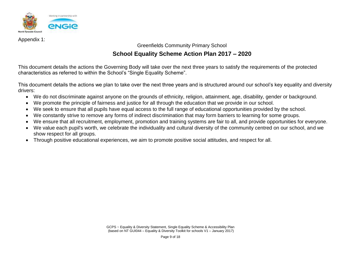

Appendix 1:

Greenfields Community Primary School

# **School Equality Scheme Action Plan 2017 – 2020**

This document details the actions the Governing Body will take over the next three years to satisfy the requirements of the protected characteristics as referred to within the School's "Single Equality Scheme".

This document details the actions we plan to take over the next three years and is structured around our school's key equality and diversity drivers:

- We do not discriminate against anyone on the grounds of ethnicity, religion, attainment, age, disability, gender or background.
- We promote the principle of fairness and justice for all through the education that we provide in our school.
- We seek to ensure that all pupils have equal access to the full range of educational opportunities provided by the school.
- We constantly strive to remove any forms of indirect discrimination that may form barriers to learning for some groups.
- We ensure that all recruitment, employment, promotion and training systems are fair to all, and provide opportunities for everyone.
- We value each pupil's worth, we celebrate the individuality and cultural diversity of the community centred on our school, and we show respect for all groups.
- Through positive educational experiences, we aim to promote positive social attitudes, and respect for all.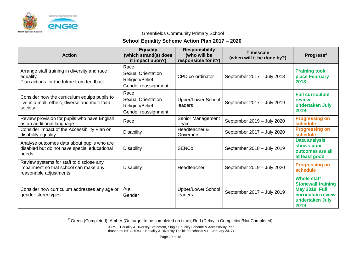

 $\overline{a}$ 

#### Greenfields Community Primary School

### **School Equality Scheme Action Plan 2017 – 2020**

| <b>Action</b>                                                                                                | <b>Equality</b><br>(which strand(s) does<br>it impact upon?)                | <b>Responsibility</b><br>(who will be<br>responsible for it?) | <b>Timescale</b><br>(when will it be done by?) | <b>Progress<sup>2</sup></b>                                                                                              |
|--------------------------------------------------------------------------------------------------------------|-----------------------------------------------------------------------------|---------------------------------------------------------------|------------------------------------------------|--------------------------------------------------------------------------------------------------------------------------|
| Arrange staff training in diversity and race<br>equality.<br>Plan actions for the future from feedback       | Race<br>Sexual Orientation<br>Religion/Belief<br>Gender reassignment        | CPD co-ordinator                                              | September 2017 - July 2018                     | <b>Training took</b><br>place February<br>2018                                                                           |
| Consider how the curriculum equips pupils to<br>live in a multi-ethnic, diverse and multi-faith<br>society   | Race<br><b>Sexual Orientation</b><br>Religion/Belief<br>Gender reassignment | <b>Upper/Lower School</b><br>leaders                          | September 2017 - July 2019                     | <b>Full curriculum</b><br>review<br>undertaken July<br>2019                                                              |
| Review provision for pupils who have English<br>as an additional language                                    | Race                                                                        | Senior Management<br>Team                                     | September 2019 - July 2020                     | <b>Progressing on</b><br>schedule                                                                                        |
| Consider impact of the Accessibility Plan on<br>disability equality                                          | <b>Disability</b>                                                           | Headteacher &<br>Governors                                    | September 2017 - July 2020                     | <b>Progressing on</b><br>schedule                                                                                        |
| Analyse outcomes data about pupils who are<br>disabled but do not have special educational<br>needs          | <b>Disability</b>                                                           | <b>SENCo</b>                                                  | September 2018 - July 2019                     | <b>Data analysis</b><br>shows pupil<br>outcomes are all<br>at least good                                                 |
| Review systems for staff to disclose any<br>impairment so that school can make any<br>reasonable adjustments | <b>Disability</b>                                                           | Headteacher                                                   | September 2019 - July 2020                     | <b>Progressing on</b><br>schedule                                                                                        |
| Consider how curriculum addresses any age or<br>gender stereotypes                                           | Age<br>Gender                                                               | Upper/Lower School<br>leaders                                 | September 2017 - July 2019                     | <b>Whole staff</b><br><b>Stonewall training</b><br><b>May 2019. Full</b><br>curriculum review<br>undertaken July<br>2019 |

<sup>2</sup> Green (Completed); Amber (On target to be completed on time); Red (Delay in Completion/Not Completed)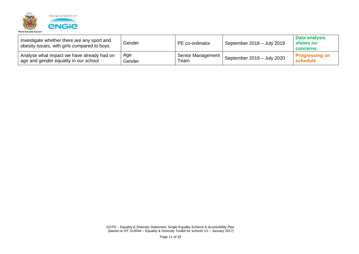

| Investigate whether there are any sport and<br>obesity issues, with girls compared to boys. | Gender | PE co-ordinator   | September 2018 - July 2019 | Data analysis<br>shows no<br>concerns. |
|---------------------------------------------------------------------------------------------|--------|-------------------|----------------------------|----------------------------------------|
| Analyse what impact we have already had on                                                  | Age    | Senior Management | September 2019 - July 2020 | <b>Progressing on</b>                  |
| age and gender equality in our school                                                       | Gender | Team              |                            | schedule                               |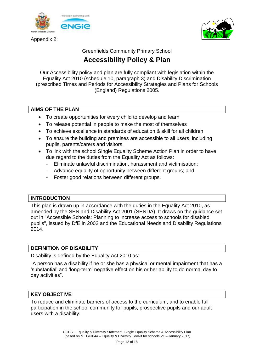

Appendix 2:



Greenfields Community Primary School

# **Accessibility Policy & Plan**

Our Accessibility policy and plan are fully compliant with legislation within the Equality Act 2010 (schedule 10, paragraph 3) and Disability Discrimination (prescribed Times and Periods for Accessibility Strategies and Plans for Schools (England) Regulations 2005.

#### **AIMS OF THE PLAN**

- To create opportunities for every child to develop and learn
- To release potential in people to make the most of themselves
- To achieve excellence in standards of education & skill for all children
- To ensure the building and premises are accessible to all users, including pupils, parents/carers and visitors.
- To link with the school Single Equality Scheme Action Plan in order to have due regard to the duties from the Equality Act as follows:
	- Eliminate unlawful discrimination, harassment and victimisation;
	- Advance equality of opportunity between different groups; and
	- Foster good relations between different groups.

#### **INTRODUCTION**

This plan is drawn up in accordance with the duties in the Equality Act 2010, as amended by the SEN and Disability Act 2001 (SENDA). It draws on the guidance set out in "Accessible Schools: Planning to increase access to schools for disabled pupils", issued by DfE in 2002 and the Educational Needs and Disability Regulations 2014.

### **DEFINITION OF DISABILITY**

Disability is defined by the Equality Act 2010 as:

"A person has a disability if he or she has a physical or mental impairment that has a 'substantial' and 'long-term' negative effect on his or her ability to do normal day to day activities".

#### **KEY OBJECTIVE**

To reduce and eliminate barriers of access to the curriculum, and to enable full participation in the school community for pupils, prospective pupils and our adult users with a disability.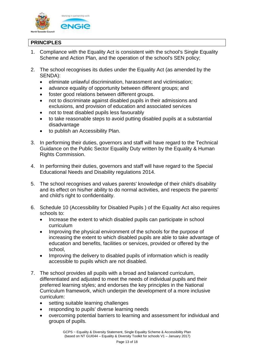

### **PRINCIPLES**

- 1. Compliance with the Equality Act is consistent with the school's Single Equality Scheme and Action Plan, and the operation of the school's SEN policy;
- 2. The school recognises its duties under the Equality Act (as amended by the SENDA):
	- eliminate unlawful discrimination, harassment and victimisation;
	- advance equality of opportunity between different groups; and
	- foster good relations between different groups.
	- not to discriminate against disabled pupils in their admissions and exclusions, and provision of education and associated services
	- not to treat disabled pupils less favourably
	- to take reasonable steps to avoid putting disabled pupils at a substantial disadvantage
	- to publish an Accessibility Plan.
- 3. In performing their duties, governors and staff will have regard to the Technical Guidance on the Public Sector Equality Duty written by the Equality & Human Rights Commission.
- 4. In performing their duties, governors and staff will have regard to the Special Educational Needs and Disability regulations 2014.
- 5. The school recognises and values parents' knowledge of their child's disability and its effect on his/her ability to do normal activities, and respects the parents' and child's right to confidentiality.
- 6. Schedule 10 (Accessibility for Disabled Pupils ) of the Equality Act also requires schools to:
	- Increase the extent to which disabled pupils can participate in school curriculum
	- Improving the physical environment of the schools for the purpose of increasing the extent to which disabled pupils are able to take advantage of education and benefits, facilities or services, provided or offered by the school,
	- Improving the delivery to disabled pupils of information which is readily accessible to pupils which are not disabled.
- 7. The school provides all pupils with a broad and balanced curriculum, differentiated and adjusted to meet the needs of individual pupils and their preferred learning styles; and endorses the key principles in the National Curriculum framework, which underpin the development of a more inclusive curriculum:
	- setting suitable learning challenges
	- responding to pupils' diverse learning needs
	- overcoming potential barriers to learning and assessment for individual and groups of pupils.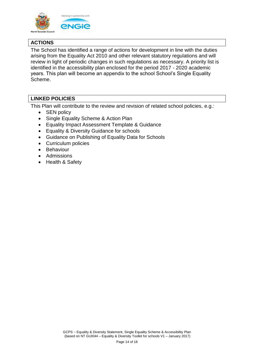

# **ACTIONS**

The School has identified a range of actions for development in line with the duties arising from the Equality Act 2010 and other relevant statutory regulations and will review in light of periodic changes in such regulations as necessary. A priority list is identified in the accessibility plan enclosed for the period 2017 - 2020 academic years. This plan will become an appendix to the school School's Single Equality Scheme.

## **LINKED POLICIES**

This Plan will contribute to the review and revision of related school policies, e.g.:

- SEN policy
- Single Equality Scheme & Action Plan
- Equality Impact Assessment Template & Guidance
- Equality & Diversity Guidance for schools
- Guidance on Publishing of Equality Data for Schools
- Curriculum policies
- Behaviour
- Admissions
- Health & Safety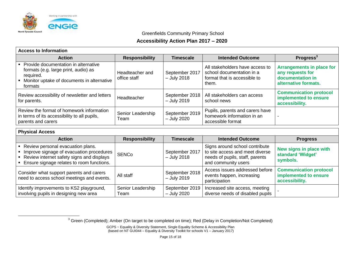

Greenfields Community Primary School

### **Accessibility Action Plan 2017 – 2020**

| <b>Action</b>                                                                                                                                        | <b>Responsibility</b>           | <b>Timescale</b>                | <b>Intended Outcome</b>                                                                               | <b>Progress</b> $3$                                                                              |  |  |
|------------------------------------------------------------------------------------------------------------------------------------------------------|---------------------------------|---------------------------------|-------------------------------------------------------------------------------------------------------|--------------------------------------------------------------------------------------------------|--|--|
| • Provide documentation in alternative<br>formats (e.g. large print, audio) as<br>required.<br>Monitor uptake of documents in alternative<br>formats | Headteacher and<br>office staff | September 2017<br>$-$ July 2018 | All stakeholders have access to<br>school documentation in a<br>format that is accessible to<br>them. | <b>Arrangements in place for</b><br>any requests for<br>documentation in<br>alternative formats. |  |  |
| Review accessibility of newsletter and letters<br>for parents.                                                                                       | Headteacher                     | September 2018<br>$-$ July 2019 | All stakeholders can access<br>school news                                                            | <b>Communication protocol</b><br>implemented to ensure<br>accessibility.                         |  |  |
| Review the format of homework information<br>in terms of its accessibility to all pupils,<br>parents and carers                                      | Senior Leadership<br>Team       | September 2019<br>- July 2020   | Pupils, parents and carers have<br>homework information in an<br>accessible format                    |                                                                                                  |  |  |

#### **Physical Access**

 $\overline{a}$ 

| <b>Action</b>                                                                                                                                                           | <b>Responsibility</b>     | <b>Timescale</b>                | <b>Intended Outcome</b>                                                                                                     | <b>Progress</b>                                                          |  |  |
|-------------------------------------------------------------------------------------------------------------------------------------------------------------------------|---------------------------|---------------------------------|-----------------------------------------------------------------------------------------------------------------------------|--------------------------------------------------------------------------|--|--|
| Review personal evacuation plans.<br>Improve signage of evacuation procedures<br>Review internet safety signs and displays<br>Ensure signage relates to room functions. | <b>SENCo</b>              | September 2017<br>$-$ July 2018 | Signs around school contribute<br>to site access and meet diverse<br>needs of pupils, staff, parents<br>and community users | New signs in place with<br>standard 'Widget'<br>symbols.                 |  |  |
| Consider what support parents and carers<br>need to access school meetings and events.                                                                                  | All staff                 | September 2018<br>$-$ July 2019 | Access issues addressed before<br>events happen, increasing<br>participation                                                | <b>Communication protocol</b><br>implemented to ensure<br>accessibility. |  |  |
| Identify improvements to KS2 playground,<br>involving pupils in designing new area                                                                                      | Senior Leadership<br>Team | September 2019<br>- July 2020   | Increased site access, meeting<br>diverse needs of disabled pupils                                                          |                                                                          |  |  |

 $3$  Green (Completed); Amber (On target to be completed on time); Red (Delay in Completion/Not Completed)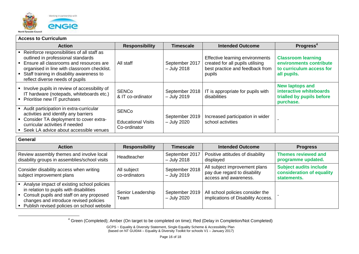

 $\overline{a}$ 

| <b>Access to Curriculum</b>                                                                                                                                                                                                                                  |                                                           |                                 |                                                                                                                  |                                                                                                 |  |  |
|--------------------------------------------------------------------------------------------------------------------------------------------------------------------------------------------------------------------------------------------------------------|-----------------------------------------------------------|---------------------------------|------------------------------------------------------------------------------------------------------------------|-------------------------------------------------------------------------------------------------|--|--|
| <b>Action</b>                                                                                                                                                                                                                                                | <b>Responsibility</b>                                     | <b>Timescale</b>                | <b>Intended Outcome</b>                                                                                          | Progress <sup>4</sup>                                                                           |  |  |
| Reinforce responsibilities of all staff as<br>outlined in professional standards<br>Ensure all classrooms and resources are<br>organised in line with classroom checklist.<br>• Staff training in disability awareness to<br>reflect diverse needs of pupils | All staff                                                 | September 2017<br>$-$ July 2018 | Effective learning environments<br>created for all pupils utilising<br>best practice and feedback from<br>pupils | <b>Classroom learning</b><br>environments contribute<br>to curriculum access for<br>all pupils. |  |  |
| Involve pupils in review of accessibility of<br>IT hardware (notepads, whiteboards etc.)<br>Prioritise new IT purchases                                                                                                                                      | <b>SENCo</b><br>& IT co-ordinator                         | September 2018<br>$-$ July 2019 | IT is appropriate for pupils with<br>disabilities                                                                | <b>New laptops and</b><br>interactive whiteboards<br>trialled by pupils before<br>purchase.     |  |  |
| Audit participation in extra-curricular<br>activities and identify any barriers<br>Consider TA deployment to cover extra-<br>curricular activities if needed<br>• Seek LA advice about accessible venues                                                     | <b>SENCo</b><br><b>Educational Visits</b><br>Co-ordinator | September 2019<br>- July 2020   | Increased participation in wider<br>school activities                                                            |                                                                                                 |  |  |

| General                                                                                                                                                                                                                     |                              |                                 |                                                                                        |                                                                           |  |  |
|-----------------------------------------------------------------------------------------------------------------------------------------------------------------------------------------------------------------------------|------------------------------|---------------------------------|----------------------------------------------------------------------------------------|---------------------------------------------------------------------------|--|--|
| <b>Action</b>                                                                                                                                                                                                               | <b>Responsibility</b>        | <b>Timescale</b>                | <b>Intended Outcome</b>                                                                | <b>Progress</b>                                                           |  |  |
| Review assembly themes and involve local<br>disability groups in assemblies/school visits                                                                                                                                   | Headteacher                  | September 2017<br>$-$ July 2018 | Positive attitudes of disability<br>displayed                                          | <b>Themes reviewed and</b><br>programme updated.                          |  |  |
| Consider disability access when writing<br>subject improvement plans                                                                                                                                                        | All subject<br>co-ordinators | September 2018<br>$-$ July 2019 | All subject improvement plans<br>pay due regard to disability<br>access and awareness. | <b>Subject audits include</b><br>consideration of equality<br>statements. |  |  |
| Analyse impact of existing school policies<br>in relation to pupils with disabilities<br>• Consult pupils and staff on any proposed<br>changes and introduce revised policies<br>Publish revised policies on school website | Senior Leadership<br>Team    | September 2019<br>- July 2020   | All school policies consider the<br>implications of Disability Access.                 |                                                                           |  |  |

<sup>4</sup> Green (Completed); Amber (On target to be completed on time); Red (Delay in Completion/Not Completed)

GCPS ~ Equality & Diversity Statement, Single Equality Scheme & Accessibility Plan (based on NT GUI044 – Equality & Diversity Toolkit for schools V1 – January 2017)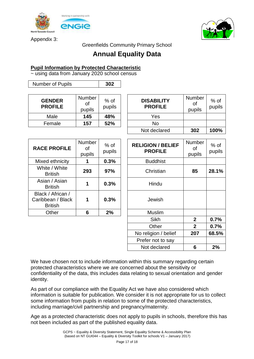

Appendix 3:



Greenfields Community Primary School

# **Annual Equality Data**

#### **Pupil Information by Protected Characteristic**

~ using data from January 2020 school census

| <b>GENDER</b><br><b>PROFILE</b> | <b>Number</b><br><b>of</b><br>pupils | $%$ of<br>pupils | <b>DISABII</b><br><b>PROFI</b> |
|---------------------------------|--------------------------------------|------------------|--------------------------------|
| Male                            | 145                                  | 48%              | Yes                            |
| Female                          | 157                                  | 52%              | No                             |

Number of Pupils **302**

| <b>RACE PROFILE</b>                                      | Number<br>οf<br>pupils | $%$ of<br>pupils | <b>RELIGION / BI</b><br><b>PROFILE</b> |
|----------------------------------------------------------|------------------------|------------------|----------------------------------------|
| Mixed ethnicity                                          | 1                      | 0.3%             | <b>Buddhist</b>                        |
| White / White<br><b>British</b>                          | 293                    | 97%              | Christian                              |
| Asian / Asian<br><b>British</b>                          |                        | 0.3%             | Hindu                                  |
| Black / African /<br>Caribbean / Black<br><b>British</b> | 1                      | 0.3%             | Jewish                                 |
| Other                                                    | 6                      | 2%               | <b>Muslim</b>                          |

| <b>DISABILITY</b><br><b>PROFILE</b> | Number<br>οf<br>pupils | $%$ of<br>pupils |
|-------------------------------------|------------------------|------------------|
| Yes                                 |                        |                  |
| No                                  |                        |                  |
| Not declared                        | 302                    | 100%             |

| <b>E PROFILE</b>                                | <b>Number</b><br>οf<br>pupils | $%$ of<br>pupils | <b>RELIGION / BELIEF</b><br><b>PROFILE</b> | Number<br>of<br>pupils | $%$ of<br>pupils |
|-------------------------------------------------|-------------------------------|------------------|--------------------------------------------|------------------------|------------------|
| ed ethnicity                                    |                               | 0.3%             | <b>Buddhist</b>                            |                        |                  |
| ite / White<br><b>British</b>                   | 293                           | 97%              | Christian                                  | 85                     | 28.1%            |
| an / Asian<br><b>British</b>                    | 1                             | 0.3%             | Hindu                                      |                        |                  |
| k / African /<br>bean / Black<br><b>British</b> | 1                             | 0.3%             | Jewish                                     |                        |                  |
| Other                                           | 6                             | 2%               | <b>Muslim</b>                              |                        |                  |
|                                                 |                               |                  | <b>Sikh</b>                                | 2 <sup>1</sup>         | 0.7%             |
|                                                 |                               |                  | Other                                      | $\mathbf{2}$           | 0.7%             |
|                                                 |                               |                  | No religion / belief                       | 207                    | 68.5%            |
|                                                 |                               |                  | Prefer not to say                          |                        |                  |
|                                                 |                               |                  | Not declared                               | 6                      | 2%               |

We have chosen not to include information within this summary regarding certain protected characteristics where we are concerned about the sensitivity or confidentiality of the data, this includes data relating to sexual orientation and gender identity.

As part of our compliance with the Equality Act we have also considered which information is suitable for publication. We consider it is not appropriate for us to collect some information from pupils in relation to some of the protected characteristics, including marriage/civil partnership and pregnancy/maternity.

Age as a protected characteristic does not apply to pupils in schools, therefore this has not been included as part of the published equality data.